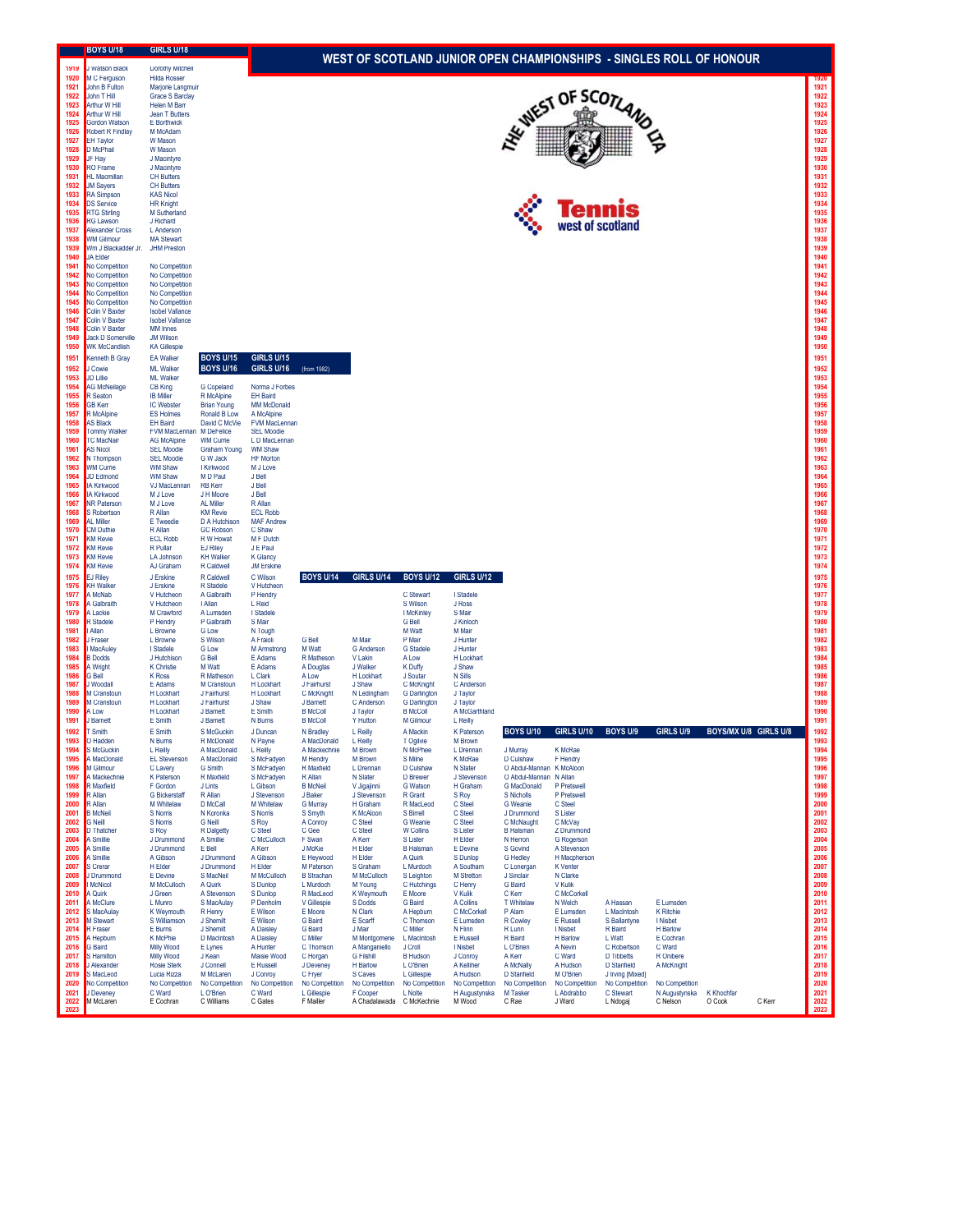|              | <b>BOYS U/18</b>                               | GIRLS U/18                               |                                         |                                    |                                                                     |                                    |                                     |                              |                                          |                             |                                    |                              |                       |        |              |  |
|--------------|------------------------------------------------|------------------------------------------|-----------------------------------------|------------------------------------|---------------------------------------------------------------------|------------------------------------|-------------------------------------|------------------------------|------------------------------------------|-----------------------------|------------------------------------|------------------------------|-----------------------|--------|--------------|--|
| 1915         | <b>Vatson Black</b>                            | <b>Lorotny Mitchell</b>                  |                                         |                                    | WEST OF SCOTLAND JUNIOR OPEN CHAMPIONSHIPS - SINGLES ROLL OF HONOUR |                                    |                                     |                              |                                          |                             |                                    |                              |                       |        |              |  |
| 1920         | M C Ferguson                                   | <b>Hilda Rosser</b>                      |                                         |                                    |                                                                     |                                    |                                     |                              |                                          |                             |                                    |                              |                       |        | 1920         |  |
| 1921<br>1922 | John B Fulton<br>John T Hill                   | Marjorie Langmuir<br>Grace S Barclay     |                                         |                                    |                                                                     |                                    |                                     |                              |                                          |                             |                                    |                              |                       |        | 1921<br>1922 |  |
| 1923         | Arthur W Hill                                  | Helen M Barr                             |                                         |                                    | <b>WIEST OF SCOTLANG</b><br>1923                                    |                                    |                                     |                              |                                          |                             |                                    |                              |                       |        |              |  |
| 1924<br>1925 | Arthur W Hill<br>Gordon Watson                 | Jean T Butters<br>E Borthwick            |                                         |                                    |                                                                     |                                    |                                     |                              |                                          |                             |                                    |                              |                       |        | 1924<br>1925 |  |
| 1926         | <b>Robert R Findlay</b>                        | M McAdam                                 |                                         |                                    |                                                                     |                                    |                                     |                              |                                          |                             |                                    |                              |                       |        | 1926         |  |
| 1927<br>1928 | EH Taylor<br>D McPhail                         | W Mason<br>W Mason                       |                                         |                                    |                                                                     |                                    |                                     |                              |                                          |                             |                                    |                              |                       |        | 1927<br>1928 |  |
| 1929         | JF Hay                                         | J Macintyre                              |                                         |                                    |                                                                     |                                    |                                     |                              |                                          |                             |                                    |                              |                       |        | 1929         |  |
| 1930<br>1931 | RO Frame<br>HI Macmillan                       | J Macintyre<br><b>CH Butters</b>         |                                         |                                    |                                                                     |                                    |                                     |                              |                                          |                             |                                    |                              |                       |        | 1930<br>1931 |  |
| 1932         | <b>JM Sayers</b>                               | <b>CH Butters</b>                        |                                         |                                    |                                                                     |                                    |                                     |                              |                                          |                             |                                    |                              |                       |        | 1932         |  |
| 1933<br>1934 | <b>RA Simpson</b><br><b>DS Service</b>         | <b>KAS Nicol</b><br><b>HR Knight</b>     |                                         |                                    |                                                                     |                                    |                                     |                              |                                          |                             |                                    |                              |                       |        | 1933<br>1934 |  |
| 1935         | <b>RTG Stirling</b>                            | M Sutherland                             |                                         |                                    |                                                                     |                                    |                                     |                              |                                          |                             | <b>ennis</b>                       |                              |                       |        | 1935         |  |
| 1936<br>1937 | <b>RG Lawson</b><br>Alexander Cross            | J Richard<br>L Anderson                  |                                         |                                    |                                                                     |                                    |                                     |                              |                                          | west of scotland            |                                    |                              |                       |        | 1936<br>1937 |  |
| 1938         | <b>WM Gilmour</b>                              | <b>MA Stewart</b>                        |                                         |                                    |                                                                     |                                    |                                     |                              |                                          |                             |                                    |                              |                       |        | 1938         |  |
| 1939<br>1940 | Wm J Blackadder Jr.<br>JA Elder                | <b>JHM Preston</b>                       |                                         |                                    |                                                                     |                                    |                                     |                              |                                          |                             |                                    |                              |                       |        | 1939<br>1940 |  |
| 1941         | <b>No Competition</b>                          | No Competition                           |                                         |                                    |                                                                     |                                    |                                     |                              |                                          |                             |                                    |                              |                       |        | 1941         |  |
| 1942<br>1943 | No Competition<br>No Competition               | No Competition<br>No Competition         |                                         |                                    |                                                                     |                                    |                                     |                              |                                          |                             |                                    |                              |                       |        | 1942<br>1943 |  |
| 1944         | <b>No Competition</b>                          | No Competition                           |                                         |                                    |                                                                     |                                    |                                     |                              |                                          |                             |                                    |                              |                       |        | 1944         |  |
| 1945<br>1946 | <b>No Competition</b><br><b>Colin V Baxter</b> | No Competition<br><b>Isobel Vallance</b> |                                         |                                    |                                                                     |                                    |                                     |                              |                                          |                             |                                    |                              |                       |        | 1945<br>1946 |  |
| 1947         | Colin V Baxter                                 | <b>Isobel Vallance</b>                   |                                         |                                    |                                                                     |                                    |                                     |                              |                                          |                             |                                    |                              |                       |        | 1947         |  |
| 1948<br>1949 | Colin V Baxter<br><b>Jack D Somerville</b>     | <b>MM</b> Innes<br><b>JM Wilson</b>      |                                         |                                    |                                                                     |                                    |                                     |                              |                                          |                             |                                    |                              |                       |        | 1948<br>1949 |  |
| 1950         | <b>WK McCandlish</b>                           | <b>KA Gillespie</b>                      |                                         |                                    |                                                                     |                                    |                                     |                              |                                          |                             |                                    |                              |                       |        | 1950         |  |
| 1951         | Cenneth B Gray                                 | <b>EA Walker</b>                         | <b>BOYS U/15</b><br><b>BOYS U/16</b>    | GIRLS U/15<br>GIRLS U/16           |                                                                     |                                    |                                     |                              |                                          |                             |                                    |                              |                       |        | 1951<br>1952 |  |
| 1952<br>1953 | J Cowie<br>JD Lillie                           | <b>ML</b> Walker<br><b>ML Walker</b>     |                                         |                                    | (from 1982)                                                         |                                    |                                     |                              |                                          |                             |                                    |                              |                       |        | 1953         |  |
| 1954<br>1955 | <b>AG McNeilage</b><br>R Seaton                | <b>CB King</b><br><b>IB Miller</b>       | G Copeland<br>R McAlpine                | Norma J Forbes<br><b>EH Baird</b>  |                                                                     |                                    |                                     |                              |                                          |                             |                                    |                              |                       |        | 1954<br>1955 |  |
| 1956         | <b>GB</b> Kerr                                 | IC Webster                               | <b>Brian Young</b>                      | <b>MM McDonald</b>                 |                                                                     |                                    |                                     |                              |                                          |                             |                                    |                              |                       |        | 1956         |  |
| 1957<br>1958 | R McAlpine<br><b>AS Black</b>                  | <b>ES Holmes</b><br><b>EH Baird</b>      | Ronald B Low<br>David C McVie           | A McAlpine<br><b>FVM MacLennan</b> |                                                                     |                                    |                                     |                              |                                          |                             |                                    |                              |                       |        | 1957<br>1958 |  |
| 1959         | <b>Tommy Walker</b>                            | FVM MacLennan M DeFelice                 |                                         | <b>SEL Moodie</b>                  |                                                                     |                                    |                                     |                              |                                          |                             |                                    |                              |                       |        | 1959         |  |
| 1960<br>1961 | <b>TC MacNair</b><br><b>AS Nicol</b>           | <b>AG McAlpine</b><br><b>SEL Moodie</b>  | <b>WM Currie</b><br><b>Graham Young</b> | L D MacLennan<br><b>WM Shaw</b>    |                                                                     |                                    |                                     |                              |                                          |                             |                                    |                              |                       |        | 1960<br>1961 |  |
| 1962         | N Thompson                                     | <b>SEL Moodie</b>                        | G W Jack                                | <b>HF</b> Morton                   |                                                                     |                                    |                                     |                              |                                          |                             |                                    |                              |                       |        | 1962         |  |
| 1963<br>1964 | <b>WM Currie</b><br>JD Edmond                  | <b>WM Shaw</b><br><b>WM Shaw</b>         | I Kirkwood<br>M D Paul                  | M J Love<br>J Bell                 |                                                                     |                                    |                                     |                              |                                          |                             |                                    |                              |                       |        | 1963<br>1964 |  |
| 1965         | <b>IA Kirkwood</b>                             | VJ MacLennan                             | <b>RB</b> Ken                           | J Bell                             |                                                                     |                                    |                                     |                              |                                          |                             |                                    |                              |                       |        | 1965         |  |
| 1966<br>1967 | <b>A Kirkwood</b><br><b>NR Paterson</b>        | M J Love<br>M J Love                     | J H Moore<br>AL Miller                  | J Bell<br>R Allan                  |                                                                     |                                    |                                     |                              |                                          |                             |                                    |                              |                       |        | 1966<br>1967 |  |
| 1968         | <b>S</b> Robertson                             | R Allan                                  | <b>KM Revie</b>                         | <b>ECL Robb</b>                    |                                                                     |                                    |                                     |                              |                                          |                             |                                    |                              |                       |        | 1968         |  |
| 1969<br>1970 | AL Miller<br><b>CM Duthie</b>                  | E Tweedie<br>R Allan                     | D A Hutchison<br><b>GC Robson</b>       | <b>MAF Andrew</b><br>C Shaw        |                                                                     |                                    |                                     |                              |                                          |                             |                                    |                              |                       |        | 1969<br>1970 |  |
| 1971         | KM Revie                                       | <b>ECL Robb</b>                          | R W Howat                               | M F Dutch                          |                                                                     |                                    |                                     |                              |                                          |                             |                                    |                              |                       |        | 1971         |  |
| 1972<br>1973 | <b>KM Revie</b><br><b>KM Revie</b>             | R Pullar<br>LA Johnson                   | <b>EJ Riley</b><br><b>KH Walker</b>     | J E Paul<br><b>K</b> Glancy        |                                                                     |                                    |                                     |                              |                                          |                             |                                    |                              |                       |        | 1972<br>1973 |  |
| 1974         | <b>KM Revie</b>                                | AJ Graham                                | R Caldwell                              | <b>JM Erskine</b>                  |                                                                     |                                    |                                     |                              |                                          |                             |                                    |                              |                       |        | 1974         |  |
| 1975<br>1976 | <b>EJ Riley</b><br>KH Walkei                   | J Erskine<br>J Erskine                   | R Caldwell<br>R Stadele                 | C Wilson<br>V Hutcheon             | <b>BOYS U/14</b>                                                    | GIRLS U/14                         | <b>BOYS U/12</b>                    | <b>GIRLS U/12</b>            |                                          |                             |                                    |                              |                       |        | 1975<br>1976 |  |
| 1977         | A McNab                                        | V Hutcheon                               | A Galbraith                             | P Hendry                           |                                                                     |                                    | C Stewart                           | I Stadele                    |                                          |                             |                                    |                              |                       |        | 1977         |  |
| 1978<br>1979 | A Galbraith<br>A I ackie                       | V Hutcheon<br>M Crawford                 | I Allan<br>A Lumsden                    | L Reid<br>I Stadele                |                                                                     |                                    | S Wilson<br>I McKinley              | J Ross<br>S Mair             |                                          |                             |                                    |                              |                       |        | 1978<br>1979 |  |
| 1980         | <b>R</b> Stadele                               | P Hendry                                 | P Galbraith                             | S Mair                             |                                                                     |                                    | <b>G</b> Bell                       | J Kinloch                    |                                          |                             |                                    |                              |                       |        | 1980         |  |
| 1981<br>1982 | Allan<br>J Fraser                              | L Browne<br>L Browne                     | <b>G</b> Low<br>S Wilson                | N Tough<br>A Fraioli               | <b>G</b> Bell                                                       | M Mair                             | M Watt<br>P Mair                    | M Mair<br>J Hunter           |                                          |                             |                                    |                              |                       |        | 1981<br>1982 |  |
| 1983         | MacAuley                                       | I Stadele                                | <b>G</b> Low                            | <b>M</b> Armstrong                 | <b>M</b> Watt<br>R Matheson                                         | <b>G</b> Anderson                  | <b>G</b> Stadele                    | J Hunter                     |                                          |                             |                                    |                              |                       |        | 1983<br>1984 |  |
| 1984<br>1985 | <b>B</b> Dodds<br>A Wright                     | J Hutchison<br><b>K</b> Christie         | <b>G</b> Bell<br>M Watt                 | E Adams<br>E Adams                 | A Douglas                                                           | V Lakin<br>J Walker                | <b>A Low</b><br>K Duffy             | H Lockhart<br>J Shaw         |                                          |                             |                                    |                              |                       |        | 1985         |  |
| 1986         | G Bell                                         | <b>K Ross</b>                            | R Matheson                              | L Clark                            | A Low                                                               | H Lockhart                         | J Soutar                            | N Sills                      |                                          |                             |                                    |                              |                       |        | 1986         |  |
| 1987<br>1988 | J Woodall<br>M Cranstoun                       | E Adams<br>H Lockhart                    | <b>M</b> Cranstour<br>J Fairhurst       | H Lockhart<br>H Lockhart           | J Fairhurst<br>C McKnight                                           | J Shaw<br>N Ledingham              | C McKnight<br><b>G</b> Darlington   | C Anderson<br>J Taylor       |                                          |                             |                                    |                              |                       |        | 1987<br>1988 |  |
| 1989<br>1990 | M Cranstoun                                    | H Lockhart<br>H Lockhart                 | J Fairhurst                             | J Shaw<br>E Smith                  | J Barnett<br><b>B</b> McColl                                        | C Anderson                         | <b>G</b> Darlington                 | J Taylor                     |                                          |                             |                                    |                              |                       |        | 1989<br>1990 |  |
| 1991         | A Low<br>J Barnett                             | E Smith                                  | J Barnett<br>J Barnett                  | N Burns                            | <b>B</b> McColl                                                     | J Taylor<br>Y Hutton               | <b>B</b> McColl<br>M Gilmour        | A McGarthland<br>L Reilly    |                                          |                             |                                    |                              |                       |        | 1991         |  |
| 1992         | T Smith                                        | E Smith                                  | <b>S McGuckin</b>                       | J Duncan                           | N Bradley                                                           | L Reilly                           | A Mackin                            | <b>K Paterson</b>            | <b>BOYS U/10</b>                         | <b>GIRLS U/10</b>           | <b>BOYS U/9</b>                    | GIRLS U/9                    | BOYS/MX U/8 GIRLS U/8 |        | 1992         |  |
| 1993<br>1994 | O Hadder<br>S McGuckin                         | N Burns<br>L Reilly                      | R McDonald<br>A MacDonald               | N Payne<br>L Reilly                | A MacDona<br>A Mackechnie                                           | 1 Reilly<br>M Brown                | T Onilvie<br>N McPhee               | M Brown<br>L Drennan         | J Murray                                 | K McRae                     |                                    |                              |                       |        | 1993<br>1994 |  |
| 1995         | A MacDonald                                    | <b>EL Stevenson</b>                      | A MacDonald                             | S McFadyen                         | M Hendry                                                            | M Brown                            | S Milne                             | K McRae                      | D Culshaw                                | F Hendry                    |                                    |                              |                       |        | 1995         |  |
| 1996<br>1997 | M Gilmour<br>A Mackechnie                      | C Lavery<br>K Paterson                   | <b>G</b> Smith<br>R Maxfield            | S McFadyen<br>S McFadyen           | R Maxfield<br>R Allan                                               | L Drennan<br>N Slater              | D Culshaw<br>D Brewer               | N Slater<br>J Stevenson      | O Abdul-Mannan<br>O Abdul-Mannan N Allan | K McAloon                   |                                    |                              |                       |        | 1996<br>1997 |  |
| 1998         | R Maxfield                                     | F Gordon                                 | J Lints                                 | L Gibson                           | <b>B</b> McNeil                                                     | V Jigajinni                        | <b>G</b> Watson                     | H Graham                     | <b>G</b> MacDonald                       | P Pretswell                 |                                    |                              |                       |        | 1998         |  |
| 1999<br>2000 | R Allan<br>R Allan                             | <b>G</b> Bickerstaff<br>M Whitelaw       | R Allan<br>D McCall                     | J Stevenson<br>M Whitelaw          | J Baker<br>G Murray                                                 | J Stevenson<br>H Graham            | R Grant<br>R MacLeod                | S Roy<br>C Steel             | S Nicholls<br><b>G</b> Weanie            | P Pretswell<br>C Steel      |                                    |                              |                       |        | 1999<br>2000 |  |
| 2001         | <b>B</b> McNeil                                | S Norris                                 | N Koronka                               | S Norris                           | S Smyth                                                             | K McAloon                          | <b>S Birrell</b>                    | C Steel                      | J Drummond                               | S Lister                    |                                    |                              |                       |        | 2001         |  |
| 2002<br>2003 | <b>G</b> Neill<br>D Thatcher                   | S Norris<br>S Roy                        | <b>G</b> Neill<br>R Dalgetty            | S Roy<br>C Steel                   | A Conroy<br>C Gee                                                   | C Steel<br>C Steel                 | <b>G</b> Weanie<br><b>W</b> Collins | C Steel<br><b>S</b> Lister   | C McNaught<br><b>B</b> Halsman           | C McVay<br>Z Drummond       |                                    |                              |                       |        | 2002<br>2003 |  |
| 2004         | A Smillie                                      | J Drummond                               | A Smillie                               | C McCulloch                        | F Swan                                                              | A Kerr                             | S Lister                            | H Elder                      | N Herron                                 | G Rogerson                  |                                    |                              |                       |        | 2004         |  |
| 2005<br>2006 | A Smillie<br>A Smillie                         | J Drummond<br>A Gibson                   | E Bell<br>J Drummond                    | A Kerr<br>A Gibson                 | J McKie<br>E Heywood                                                | H Elder<br>H Elder                 | <b>B</b> Halsman<br>A Quirk         | E Devine<br>S Dunlop         | S Govind<br><b>G</b> Hedley              | A Stevenson<br>H Macpherson |                                    |                              |                       |        | 2005<br>2006 |  |
| 2007         | S Crerar                                       | H Elder                                  | J Drummond                              | H Elder                            | M Paterson                                                          | S Graham                           | L Murdoch                           | A Southam                    | C Lonergan                               | <b>K</b> Venter             |                                    |                              |                       |        | 2007         |  |
| 2008<br>2009 | J Drummond<br>McNicol                          | E Devine<br>M McCulloch                  | S MacNeil<br>A Quirk                    | M McCulloch<br>S Dunlop            | <b>B</b> Strachan<br>L Murdoch                                      | M McCulloch<br>M Young             | S Leighton<br>C Hutchings           | <b>M</b> Stretton<br>C Henry | J Sinclair<br><b>G</b> Baird             | N Clarke<br>V Kulik         |                                    |                              |                       |        | 2008<br>2009 |  |
| 2010         | A Quirk<br>A McClure                           | J Green                                  | A Stevenson                             | S Dunlop                           | R MacLeod                                                           | K Weymouth                         | E Moore                             | V Kulik                      | C Kerr<br>T Whitelaw                     | C McCorkell<br>N Welch      |                                    |                              |                       |        | 2010<br>2011 |  |
| 2011<br>2012 | S MacAulay                                     | L Munro<br>K Weymouth                    | S MacAulay<br>R Henry                   | P Denholm<br>E Wilson              | V Gillespie<br>E Moore                                              | S Dodds<br>N Clark                 | <b>G</b> Baird<br>A Hepburn         | A Collins<br>C McCorkell     | P Alam                                   | E Lumsden                   | A Hassan<br>L MacIntosh            | E Lumsden<br>K Ritchie       |                       |        | 2012         |  |
| 2013         | M Stewart                                      | S Williamson                             | J Shemilt                               | E Wilson                           | G Baird                                                             | E Scarff                           | C Thomson                           | E Lumsden                    | R Cowley                                 | E Russell                   | S Ballantyne                       | I Nisbet                     |                       |        | 2013         |  |
| 2014<br>2015 | R Fraser<br>A Hepburn                          | E Burns<br>K McPhie                      | J Shemilt<br>D MacIntosh                | A Daisley<br>A Daisley             | <b>G</b> Baird<br>C Miller                                          | J Mair<br>M Montgomerie            | C Miller<br>L MacIntosh             | N Flinn<br>E Russell         | R Lunn<br>R Baird                        | I Nisbet<br>H Barlow        | R Baird<br>L Watt                  | <b>H</b> Barlow<br>E Cochran |                       |        | 2014<br>2015 |  |
| 2016<br>2017 | G Baird<br>S Hamilton                          | Milly Wood<br>Milly Wood                 | E Lynes<br>J Kean                       | A Hunter<br>Maisie Wood            | C Thomson                                                           | A Manganiello<br><b>G</b> Filshill | J Croll<br><b>B</b> Hudson          | I Nisbet<br>J Conroy         | L O'Brien<br>A Kerr                      | A Nevin<br>C Ward           | C Robertson<br><b>D</b> Tibbetts   | C Ward<br>R Onibere          |                       |        | 2016<br>2017 |  |
| 2018         | J Alexander                                    | <b>Rosie Sterk</b>                       | J Connell                               | E Russell                          | C Horgan<br>J Deveney                                               | <b>H</b> Barlow                    | L O'Brien                           | A Kelliher                   | A McNally                                | A Hudson                    | D Stanfield                        | A McKnight                   |                       |        | 2018         |  |
| 2019<br>2020 | S MacLeod<br>No Competition                    | Lucia Rizza<br>No Competition            | M McLaren<br>No Competition             | J Conroy<br>No Competition         | C Fryer<br>No Competition                                           | S Caves<br>No Competition          | L Gillespie<br>No Competition       | A Hudson<br>No Competition   | D Stanfield<br>No Competition            | M O'Brien<br>No Competition | J Irving [Mixed]<br>No Competition | No Competition               |                       |        | 2019<br>2020 |  |
| 2021         | J Deveney                                      | C Ward                                   | L O'Brien                               | C Ward                             | L Gillespie                                                         | F Cooper                           | L Nolte                             | H Augustynska                | M Tasker                                 | L Abdrabbo                  | C Stewart                          | N Augustynska                | K Khochfar            |        | 2021         |  |
| 2022<br>2023 | M McLaren                                      | E Cochran                                | C Williams                              | C Gates                            | F Mailler                                                           | A Chadalawada                      | C McKechnie                         | M Wood                       | C Rae                                    | J Ward                      | L Ndogaj                           | C Nelson                     | O Cook                | C Kerr | 2022<br>2023 |  |